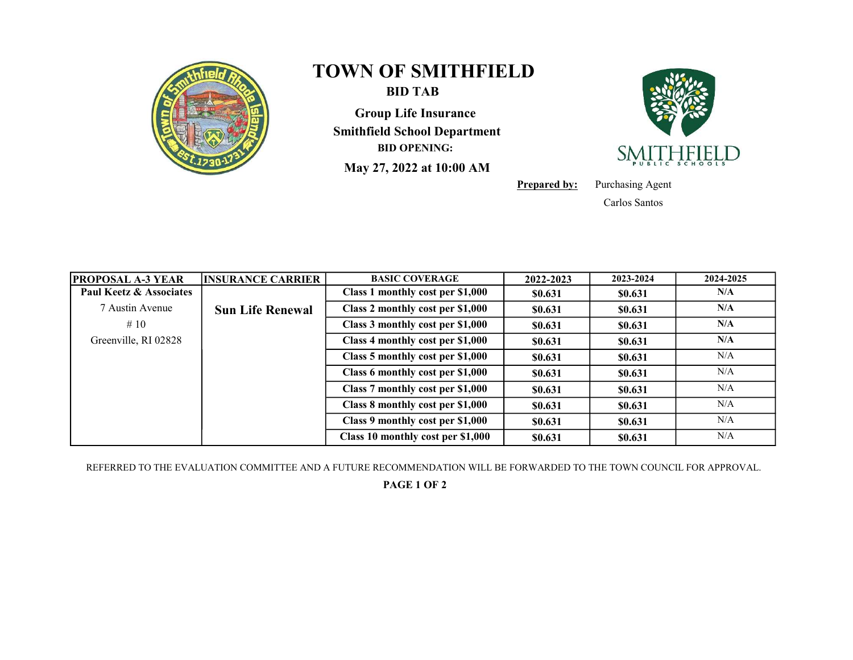

## TOWN OF SMITHFIELD

BID TAB

Group Life Insurance Smithfield School Department BID OPENING:

May 27, 2022 at 10:00 AM



**Prepared by:** Purchasing Agent

Carlos Santos

| <b>PROPOSAL A-3 YEAR</b> | <b>INSURANCE CARRIER</b> | <b>BASIC COVERAGE</b>             | 2022-2023 | 2023-2024 | 2024-2025 |
|--------------------------|--------------------------|-----------------------------------|-----------|-----------|-----------|
| Paul Keetz & Associates  |                          | Class 1 monthly cost per \$1,000  | \$0.631   | \$0.631   | N/A       |
| 7 Austin Avenue          | <b>Sun Life Renewal</b>  | Class 2 monthly cost per \$1,000  | \$0.631   | \$0.631   | N/A       |
| #10                      |                          | Class 3 monthly cost per \$1,000  | \$0.631   | \$0.631   | N/A       |
| Greenville, RI 02828     |                          | Class 4 monthly cost per \$1,000  | \$0.631   | \$0.631   | N/A       |
|                          |                          | Class 5 monthly cost per \$1,000  | \$0.631   | \$0.631   | N/A       |
|                          |                          | Class 6 monthly cost per \$1,000  | \$0.631   | \$0.631   | N/A       |
|                          |                          | Class 7 monthly cost per \$1,000  | \$0.631   | \$0.631   | N/A       |
|                          |                          | Class 8 monthly cost per \$1,000  | \$0.631   | \$0.631   | N/A       |
|                          |                          | Class 9 monthly cost per \$1,000  | \$0.631   | \$0.631   | N/A       |
|                          |                          | Class 10 monthly cost per \$1,000 | \$0.631   | \$0.631   | N/A       |

REFERRED TO THE EVALUATION COMMITTEE AND A FUTURE RECOMMENDATION WILL BE FORWARDED TO THE TOWN COUNCIL FOR APPROVAL.

PAGE 1 OF 2